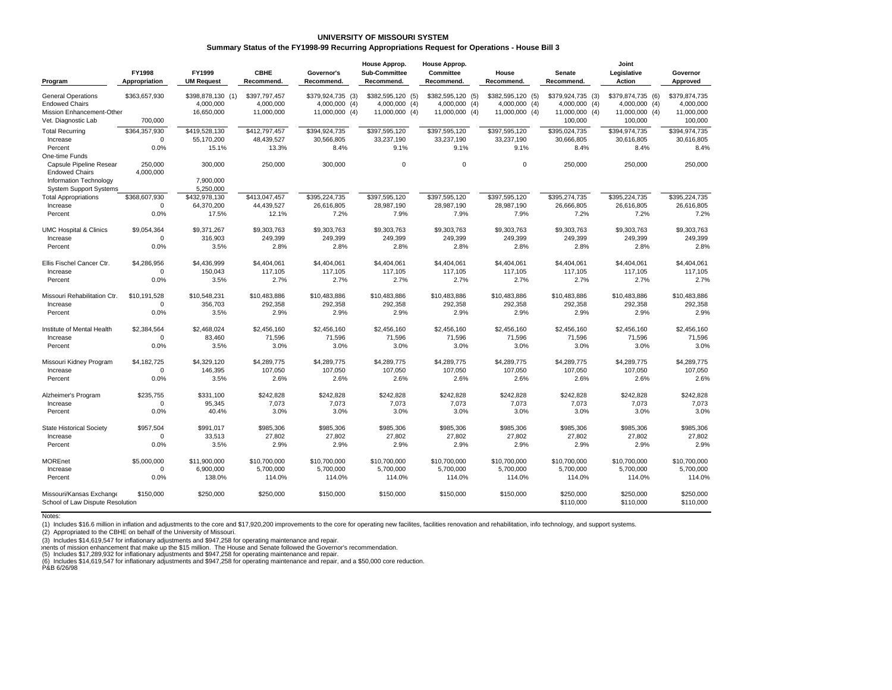## **UNIVERSITY OF MISSOURI SYSTEM Summary Status of the FY1998-99 Recurring Appropriations Request for Operations - House Bill 3**

|                                   |                         |                             |                           |                          | House Approp.                      | House Approp.           |                     |                      | Joint                 |                      |
|-----------------------------------|-------------------------|-----------------------------|---------------------------|--------------------------|------------------------------------|-------------------------|---------------------|----------------------|-----------------------|----------------------|
| Program                           | FY1998<br>Appropriation | FY1999<br><b>UM Request</b> | <b>CBHE</b><br>Recommend. | Governor's<br>Recommend. | <b>Sub-Committee</b><br>Recommend. | Committee<br>Recommend. | House<br>Recommend. | Senate<br>Recommend. | Legislative<br>Action | Governor<br>Approved |
| <b>General Operations</b>         | \$363.657.930           | \$398,878,130 (1)           | \$397.797.457             | \$379.924.735 (3)        | \$382,595,120 (5)                  | \$382,595,120 (5)       | \$382,595,120 (5)   | \$379.924.735 (3)    | \$379,874,735 (6)     | \$379.874.735        |
| <b>Endowed Chairs</b>             |                         | 4,000,000                   | 4,000,000                 | 4,000,000 (4)            | 4,000,000 (4)                      | 4,000,000 (4)           | 4,000,000 (4)       | 4,000,000 (4)        | 4,000,000 (4)         | 4,000,000            |
| Mission Enhancement-Other         |                         | 16,650,000                  | 11,000,000                | 11,000,000 (4)           | 11,000,000 (4)                     | 11,000,000 (4)          | 11,000,000 (4)      | 11,000,000 (4)       | 11,000,000 (4)        | 11,000,000           |
| Vet. Diagnostic Lab               | 700.000                 |                             |                           |                          |                                    |                         |                     | 100,000              | 100,000               | 100,000              |
| <b>Total Recurring</b>            | \$364,357,930           | \$419,528,130               | \$412,797,457             | \$394,924,735            | \$397,595,120                      | \$397,595,120           | \$397,595,120       | \$395,024,735        | \$394,974,735         | \$394,974,735        |
| Increase                          | $\mathbf 0$             | 55,170,200                  | 48,439,527                | 30,566,805               | 33,237,190                         | 33,237,190              | 33,237,190          | 30,666,805           | 30,616,805            | 30,616,805           |
| Percent                           | 0.0%                    | 15.1%                       | 13.3%                     | 8.4%                     | 9.1%                               | 9.1%                    | 9.1%                | 8.4%                 | 8.4%                  | 8.4%                 |
| One-time Funds                    |                         |                             |                           |                          |                                    |                         |                     |                      |                       |                      |
| Capsule Pipeline Resear           | 250,000                 | 300,000                     | 250,000                   | 300,000                  | $\mathbf 0$                        | $\Omega$                | $\Omega$            | 250,000              | 250,000               | 250.000              |
| <b>Endowed Chairs</b>             | 4,000,000               |                             |                           |                          |                                    |                         |                     |                      |                       |                      |
|                                   |                         | 7,900,000                   |                           |                          |                                    |                         |                     |                      |                       |                      |
| Information Technology            |                         |                             |                           |                          |                                    |                         |                     |                      |                       |                      |
| <b>System Support Systems</b>     | \$368,607,930           | 5,250,000<br>\$432,978,130  | \$413,047,457             | \$395,224,735            | \$397,595,120                      | \$397,595,120           | \$397,595,120       | \$395,274,735        | \$395,224,735         | \$395,224,735        |
| <b>Total Appropriations</b>       | $\mathbf 0$             |                             |                           |                          | 28,987,190                         |                         | 28,987,190          |                      |                       | 26,616,805           |
| Increase                          | 0.0%                    | 64,370,200                  | 44,439,527                | 26,616,805               |                                    | 28,987,190              |                     | 26,666,805           | 26,616,805            |                      |
| Percent                           |                         | 17.5%                       | 12.1%                     | 7.2%                     | 7.9%                               | 7.9%                    | 7.9%                | 7.2%                 | 7.2%                  | 7.2%                 |
| <b>UMC Hospital &amp; Clinics</b> | \$9,054,364             | \$9,371,267                 | \$9,303,763               | \$9,303,763              | \$9,303,763                        | \$9,303,763             | \$9,303,763         | \$9,303,763          | \$9,303,763           | \$9,303,763          |
| Increase                          | $\Omega$                | 316,903                     | 249,399                   | 249,399                  | 249,399                            | 249,399                 | 249,399             | 249,399              | 249,399               | 249,399              |
| Percent                           | 0.0%                    | 3.5%                        | 2.8%                      | 2.8%                     | 2.8%                               | 2.8%                    | 2.8%                | 2.8%                 | 2.8%                  | 2.8%                 |
|                                   |                         |                             |                           |                          |                                    |                         |                     |                      |                       |                      |
| Ellis Fischel Cancer Ctr.         | \$4.286.956             | \$4,436,999                 | \$4,404,061               | \$4,404,061              | \$4,404,061                        | \$4,404,061             | \$4,404,061         | \$4,404,061          | \$4,404,061           | \$4,404,061          |
| Increase                          | $\mathbf 0$             | 150,043                     | 117,105                   | 117,105                  | 117,105                            | 117,105                 | 117,105             | 117,105              | 117,105               | 117,105              |
| Percent                           | 0.0%                    | 3.5%                        | 2.7%                      | 2.7%                     | 2.7%                               | 2.7%                    | 2.7%                | 2.7%                 | 2.7%                  | 2.7%                 |
| Missouri Rehabilitation Ctr.      | \$10,191,528            | \$10,548,231                | \$10,483,886              | \$10,483,886             | \$10,483,886                       | \$10,483,886            | \$10,483,886        | \$10,483,886         | \$10,483,886          | \$10,483,886         |
| Increase                          | $\Omega$                | 356,703                     | 292,358                   | 292,358                  | 292,358                            | 292,358                 | 292,358             | 292,358              | 292,358               | 292,358              |
| Percent                           | 0.0%                    | 3.5%                        | 2.9%                      | 2.9%                     | 2.9%                               | 2.9%                    | 2.9%                | 2.9%                 | 2.9%                  | 2.9%                 |
|                                   |                         |                             |                           |                          |                                    |                         |                     |                      |                       |                      |
| Institute of Mental Health        | \$2,384,564             | \$2,468,024                 | \$2,456,160               | \$2,456,160              | \$2,456,160                        | \$2,456,160             | \$2,456,160         | \$2,456,160          | \$2,456,160           | \$2,456,160          |
| Increase                          | $\mathbf 0$             | 83,460                      | 71,596                    | 71,596                   | 71,596                             | 71,596                  | 71,596              | 71,596               | 71,596                | 71,596               |
| Percent                           | 0.0%                    | 3.5%                        | 3.0%                      | 3.0%                     | 3.0%                               | 3.0%                    | 3.0%                | 3.0%                 | 3.0%                  | 3.0%                 |
| Missouri Kidney Program           | \$4,182,725             | \$4,329,120                 | \$4,289,775               | \$4,289,775              | \$4,289,775                        | \$4,289,775             | \$4,289,775         | \$4,289,775          | \$4,289,775           | \$4,289,775          |
| Increase                          | $\Omega$                | 146,395                     | 107,050                   | 107,050                  | 107,050                            | 107,050                 | 107,050             | 107,050              | 107,050               | 107,050              |
| Percent                           | 0.0%                    | 3.5%                        | 2.6%                      | 2.6%                     | 2.6%                               | 2.6%                    | 2.6%                | 2.6%                 | 2.6%                  | 2.6%                 |
|                                   |                         |                             |                           |                          |                                    |                         |                     |                      |                       |                      |
| Alzheimer's Program               | \$235.755               | \$331.100                   | \$242.828                 | \$242.828                | \$242.828                          | \$242.828               | \$242.828           | \$242.828            | \$242.828             | \$242.828            |
| Increase                          | $\Omega$                | 95,345                      | 7,073                     | 7,073                    | 7,073                              | 7,073                   | 7,073               | 7,073                | 7,073                 | 7,073                |
| Percent                           | 0.0%                    | 40.4%                       | 3.0%                      | 3.0%                     | 3.0%                               | 3.0%                    | 3.0%                | 3.0%                 | 3.0%                  | 3.0%                 |
| <b>State Historical Society</b>   | \$957.504               | \$991,017                   | \$985.306                 | \$985.306                | \$985.306                          | \$985.306               | \$985.306           | \$985.306            | \$985.306             | \$985.306            |
| Increase                          | $\Omega$                | 33,513                      | 27,802                    | 27,802                   | 27,802                             | 27,802                  | 27,802              | 27,802               | 27,802                | 27,802               |
| Percent                           | 0.0%                    | 3.5%                        | 2.9%                      | 2.9%                     | 2.9%                               | 2.9%                    | 2.9%                | 2.9%                 | 2.9%                  | 2.9%                 |
|                                   |                         |                             |                           |                          |                                    |                         |                     |                      |                       |                      |
| <b>MOREnet</b>                    | \$5,000,000             | \$11,900,000                | \$10,700,000              | \$10,700,000             | \$10,700,000                       | \$10,700,000            | \$10,700,000        | \$10,700,000         | \$10,700,000          | \$10,700,000         |
| Increase                          | $\mathbf 0$             | 6,900,000                   | 5,700,000                 | 5,700,000                | 5,700,000                          | 5,700,000               | 5,700,000           | 5,700,000            | 5,700,000             | 5,700,000            |
| Percent                           | 0.0%                    | 138.0%                      | 114.0%                    | 114.0%                   | 114.0%                             | 114.0%                  | 114.0%              | 114.0%               | 114.0%                | 114.0%               |
| Missouri/Kansas Exchange          | \$150,000               | \$250,000                   | \$250,000                 | \$150,000                | \$150,000                          | \$150,000               | \$150,000           | \$250,000            | \$250,000             | \$250,000            |
| School of Law Dispute Resolution  |                         |                             |                           |                          |                                    |                         |                     | \$110,000            | \$110,000             | \$110,000            |
|                                   |                         |                             |                           |                          |                                    |                         |                     |                      |                       |                      |

Notes:

(1) Includes \$16.6 million in inflation and adjustments to the core and \$17,920,200 improvements to the core for operating new facilities, facilities renovation and rehabilitation, info technology, and support systems.

(2) Appropriated to the CBHE on behalf of the University of Missouri.

(3) Includes \$14,619,547 for inflationary adjustments and \$947,258 for operating maintenance and repair.<br>nents of mission enhancement that make up the \$15 million. The House and Senate followed the Governor's recommendatio